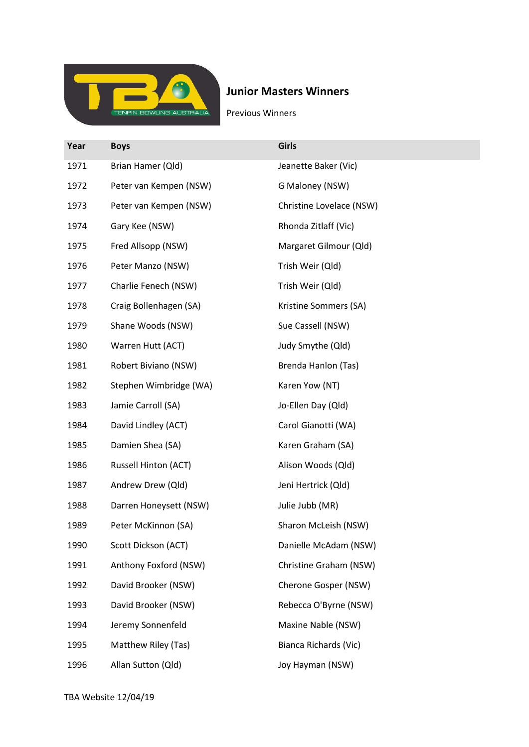

## Junior Masters Winners

Previous Winners

| Year | <b>Boys</b>            | <b>Girls</b>             |
|------|------------------------|--------------------------|
| 1971 | Brian Hamer (Qld)      | Jeanette Baker (Vic)     |
| 1972 | Peter van Kempen (NSW) | G Maloney (NSW)          |
| 1973 | Peter van Kempen (NSW) | Christine Lovelace (NSW) |
| 1974 | Gary Kee (NSW)         | Rhonda Zitlaff (Vic)     |
| 1975 | Fred Allsopp (NSW)     | Margaret Gilmour (Qld)   |
| 1976 | Peter Manzo (NSW)      | Trish Weir (Qld)         |
| 1977 | Charlie Fenech (NSW)   | Trish Weir (Qld)         |
| 1978 | Craig Bollenhagen (SA) | Kristine Sommers (SA)    |
| 1979 | Shane Woods (NSW)      | Sue Cassell (NSW)        |
| 1980 | Warren Hutt (ACT)      | Judy Smythe (Qld)        |
| 1981 | Robert Biviano (NSW)   | Brenda Hanlon (Tas)      |
| 1982 | Stephen Wimbridge (WA) | Karen Yow (NT)           |
| 1983 | Jamie Carroll (SA)     | Jo-Ellen Day (Qld)       |
| 1984 | David Lindley (ACT)    | Carol Gianotti (WA)      |
| 1985 | Damien Shea (SA)       | Karen Graham (SA)        |
| 1986 | Russell Hinton (ACT)   | Alison Woods (Qld)       |
| 1987 | Andrew Drew (Qld)      | Jeni Hertrick (Qld)      |
| 1988 | Darren Honeysett (NSW) | Julie Jubb (MR)          |
| 1989 | Peter McKinnon (SA)    | Sharon McLeish (NSW)     |
| 1990 | Scott Dickson (ACT)    | Danielle McAdam (NSW)    |
| 1991 | Anthony Foxford (NSW)  | Christine Graham (NSW)   |
| 1992 | David Brooker (NSW)    | Cherone Gosper (NSW)     |
| 1993 | David Brooker (NSW)    | Rebecca O'Byrne (NSW)    |
| 1994 | Jeremy Sonnenfeld      | Maxine Nable (NSW)       |
| 1995 | Matthew Riley (Tas)    | Bianca Richards (Vic)    |
| 1996 | Allan Sutton (Qld)     | Joy Hayman (NSW)         |